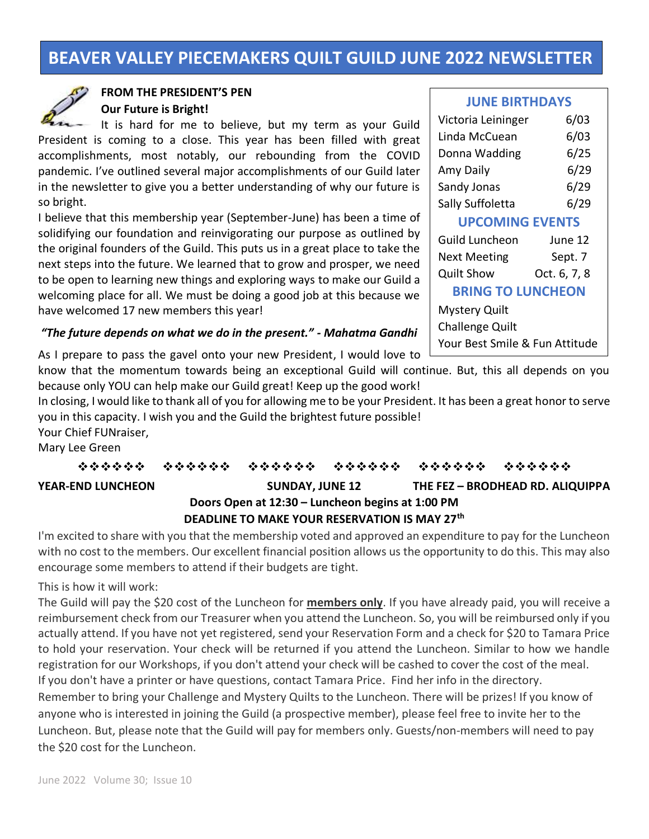# **BEAVER VALLEY PIECEMAKERS QUILT GUILD JUNE 2022 NEWSLETTER**



# **FROM THE PRESIDENT'S PEN Our Future is Bright!**

It is hard for me to believe, but my term as your Guild President is coming to a close. This year has been filled with great accomplishments, most notably, our rebounding from the COVID pandemic. I've outlined several major accomplishments of our Guild later in the newsletter to give you a better understanding of why our future is so bright.

I believe that this membership year (September-June) has been a time of solidifying our foundation and reinvigorating our purpose as outlined by the original founders of the Guild. This puts us in a great place to take the next steps into the future. We learned that to grow and prosper, we need to be open to learning new things and exploring ways to make our Guild a welcoming place for all. We must be doing a good job at this because we have welcomed 17 new members this year!

#### **JUNE BIRTHDAYS**

| Victoria Leininger             | 6/03         |  |
|--------------------------------|--------------|--|
| Linda McCuean                  | 6/03         |  |
| Donna Wadding                  | 6/25         |  |
| Amy Daily                      | 6/29         |  |
| Sandy Jonas                    | 6/29         |  |
| Sally Suffoletta               | 6/29         |  |
| <b>UPCOMING EVENTS</b>         |              |  |
| <b>Guild Luncheon</b>          | June 12      |  |
| <b>Next Meeting</b>            | Sept. 7      |  |
| <b>Quilt Show</b>              | Oct. 6, 7, 8 |  |
| <b>BRING TO LUNCHEON</b>       |              |  |
| Mystery Quilt                  |              |  |
| <b>Challenge Quilt</b>         |              |  |
| Your Best Smile & Fun Attitude |              |  |

#### *"The future depends on what we do in the present." - Mahatma Gandhi*

As I prepare to pass the gavel onto your new President, I would love to

know that the momentum towards being an exceptional Guild will continue. But, this all depends on you because only YOU can help make our Guild great! Keep up the good work!

In closing, I would like to thank all of you for allowing me to be your President. It has been a great honor to serve you in this capacity. I wish you and the Guild the brightest future possible!

Your Chief FUNraiser,

Mary Lee Green

❖❖❖❖❖❖ ❖❖❖❖❖❖ ❖❖❖❖❖❖ ❖❖❖❖❖❖ ❖❖❖❖❖❖ ❖❖❖❖❖❖ **YEAR-END LUNCHEON SUNDAY, JUNE 12 THE FEZ – BRODHEAD RD. ALIQUIPPA Doors Open at 12:30 – Luncheon begins at 1:00 PM**

# **DEADLINE TO MAKE YOUR RESERVATION IS MAY 27th**

I'm excited to share with you that the membership voted and approved an expenditure to pay for the Luncheon with no cost to the members. Our excellent financial position allows us the opportunity to do this. This may also encourage some members to attend if their budgets are tight.

This is how it will work:

The Guild will pay the \$20 cost of the Luncheon for **members only**. If you have already paid, you will receive a reimbursement check from our Treasurer when you attend the Luncheon. So, you will be reimbursed only if you actually attend. If you have not yet registered, send your Reservation Form and a check for \$20 to Tamara Price to hold your reservation. Your check will be returned if you attend the Luncheon. Similar to how we handle registration for our Workshops, if you don't attend your check will be cashed to cover the cost of the meal. If you don't have a printer or have questions, contact Tamara Price. Find her info in the directory. Remember to bring your Challenge and Mystery Quilts to the Luncheon. There will be prizes! If you know of anyone who is interested in joining the Guild (a prospective member), please feel free to invite her to the Luncheon. But, please note that the Guild will pay for members only. Guests/non-members will need to pay the \$20 cost for the Luncheon.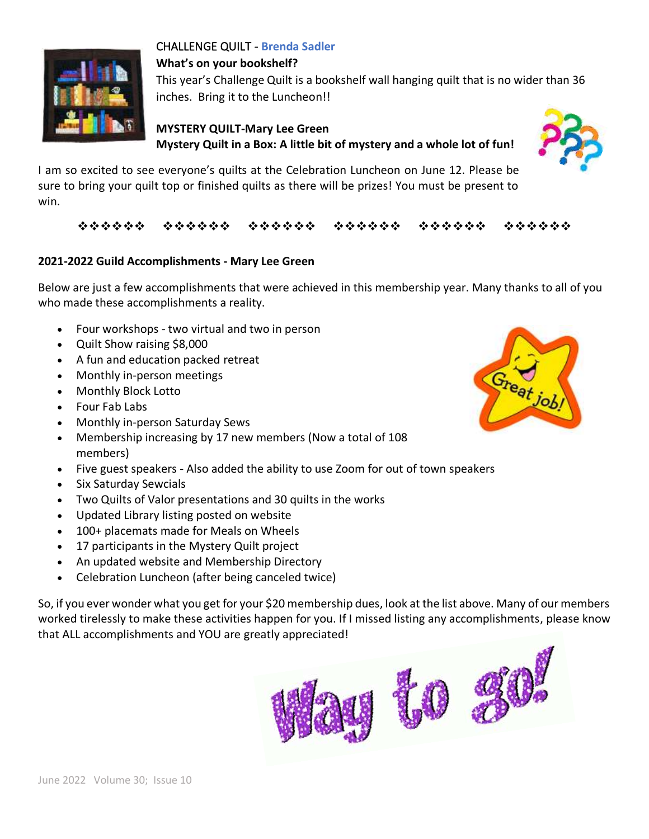

# CHALLENGE QUILT - **Brenda Sadler**

**What's on your bookshelf?** 

This year's Challenge Quilt is a bookshelf wall hanging quilt that is no wider than 36 inches. Bring it to the Luncheon!!

# **MYSTERY QUILT-Mary Lee Green Mystery Quilt in a Box: A little bit of mystery and a whole lot of fun!**



I am so excited to see everyone's quilts at the Celebration Luncheon on June 12. Please be sure to bring your quilt top or finished quilts as there will be prizes! You must be present to win.

# ❖❖❖❖❖❖ ❖❖❖❖❖❖ ❖❖❖❖❖❖ ❖❖❖❖❖❖ ❖❖❖❖❖❖ ❖❖❖❖❖❖

# **2021-2022 Guild Accomplishments - Mary Lee Green**

Below are just a few accomplishments that were achieved in this membership year. Many thanks to all of you who made these accomplishments a reality.

- Four workshops two virtual and two in person
- Quilt Show raising \$8,000
- A fun and education packed retreat
- Monthly in-person meetings
- Monthly Block Lotto
- Four Fab Labs
- Monthly in-person Saturday Sews
- Membership increasing by 17 new members (Now a total of 108 members)
- Five guest speakers Also added the ability to use Zoom for out of town speakers
- Six Saturday Sewcials
- Two Quilts of Valor presentations and 30 quilts in the works
- Updated Library listing posted on website
- 100+ placemats made for Meals on Wheels
- 17 participants in the Mystery Quilt project
- An updated website and Membership Directory
- Celebration Luncheon (after being canceled twice)

So, if you ever wonder what you get for your \$20 membership dues, look at the list above. Many of our members worked tirelessly to make these activities happen for you. If I missed listing any accomplishments, please know that ALL accomplishments and YOU are greatly appreciated!



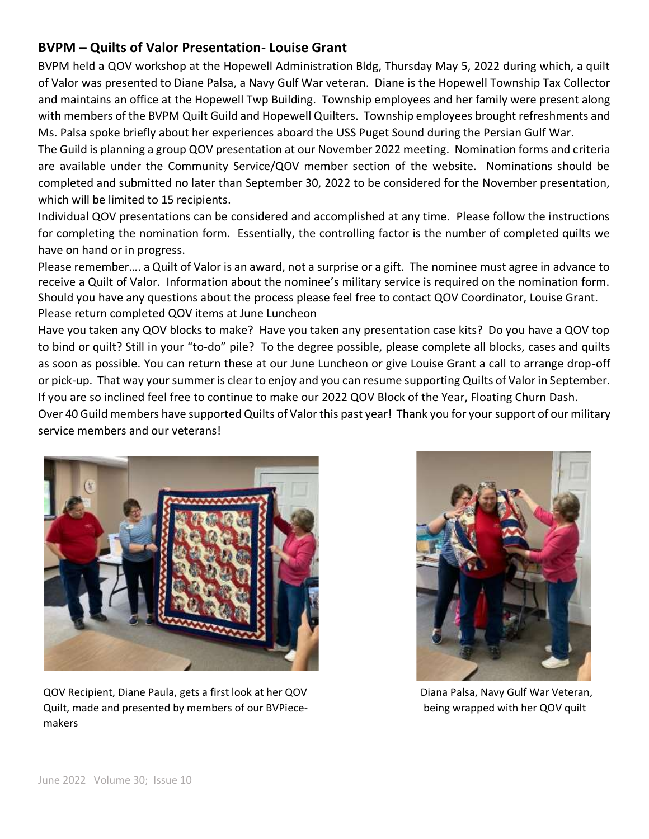# **BVPM – Quilts of Valor Presentation- Louise Grant**

BVPM held a QOV workshop at the Hopewell Administration Bldg, Thursday May 5, 2022 during which, a quilt of Valor was presented to Diane Palsa, a Navy Gulf War veteran. Diane is the Hopewell Township Tax Collector and maintains an office at the Hopewell Twp Building. Township employees and her family were present along with members of the BVPM Quilt Guild and Hopewell Quilters. Township employees brought refreshments and Ms. Palsa spoke briefly about her experiences aboard the USS Puget Sound during the Persian Gulf War.

The Guild is planning a group QOV presentation at our November 2022 meeting. Nomination forms and criteria are available under the Community Service/QOV member section of the website. Nominations should be completed and submitted no later than September 30, 2022 to be considered for the November presentation, which will be limited to 15 recipients.

Individual QOV presentations can be considered and accomplished at any time. Please follow the instructions for completing the nomination form. Essentially, the controlling factor is the number of completed quilts we have on hand or in progress.

Please remember…. a Quilt of Valor is an award, not a surprise or a gift. The nominee must agree in advance to receive a Quilt of Valor. Information about the nominee's military service is required on the nomination form. Should you have any questions about the process please feel free to contact QOV Coordinator, Louise Grant. Please return completed QOV items at June Luncheon

Have you taken any QOV blocks to make? Have you taken any presentation case kits? Do you have a QOV top to bind or quilt? Still in your "to-do" pile? To the degree possible, please complete all blocks, cases and quilts as soon as possible. You can return these at our June Luncheon or give Louise Grant a call to arrange drop-off or pick-up. That way your summer is clear to enjoy and you can resume supporting Quilts of Valor in September. If you are so inclined feel free to continue to make our 2022 QOV Block of the Year, Floating Churn Dash.

Over 40 Guild members have supported Quilts of Valor this past year! Thank you for your support of our military service members and our veterans!



QOV Recipient, Diane Paula, gets a first look at her QOV Diana Palsa, Navy Gulf War Veteran, Quilt, made and presented by members of our BVPiece- being wrapped with her QOV quilt makers

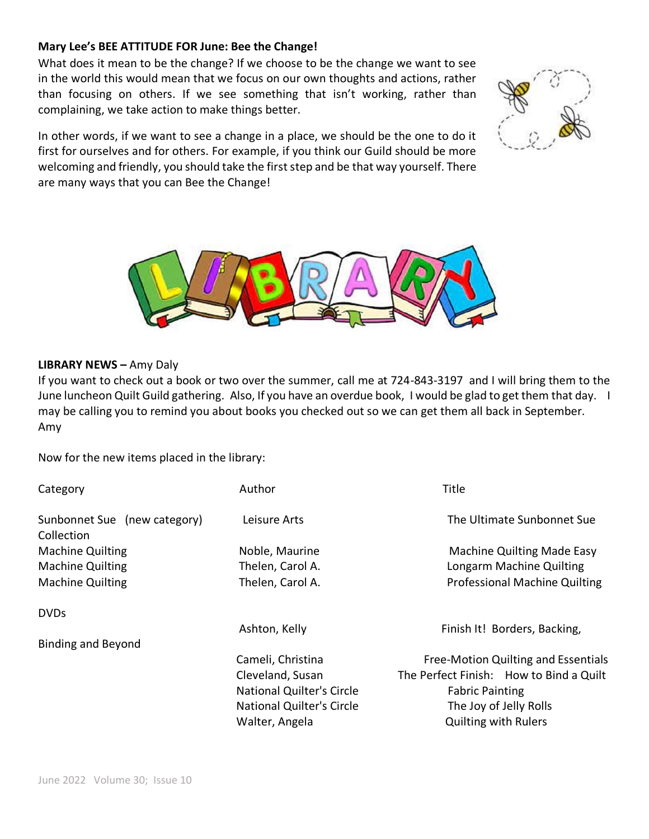#### **Mary Lee's BEE ATTITUDE FOR June: Bee the Change!**

What does it mean to be the change? If we choose to be the change we want to see in the world this would mean that we focus on our own thoughts and actions, rather than focusing on others. If we see something that isn't working, rather than complaining, we take action to make things better.

In other words, if we want to see a change in a place, we should be the one to do it first for ourselves and for others. For example, if you think our Guild should be more welcoming and friendly, you should take the first step and be that way yourself. There are many ways that you can Bee the Change!





#### **LIBRARY NEWS –** Amy Daly

If you want to check out a book or two over the summer, call me at 724-843-3197 and I will bring them to the June luncheon Quilt Guild gathering. Also, If you have an overdue book, I would be glad to get them that day. I may be calling you to remind you about books you checked out so we can get them all back in September. Amy

Now for the new items placed in the library:

| Category                                   | Author                           | Title                                   |
|--------------------------------------------|----------------------------------|-----------------------------------------|
| Sunbonnet Sue (new category)<br>Collection | Leisure Arts                     | The Ultimate Sunbonnet Sue              |
| <b>Machine Quilting</b>                    | Noble, Maurine                   | <b>Machine Quilting Made Easy</b>       |
| <b>Machine Quilting</b>                    | Thelen, Carol A.                 | Longarm Machine Quilting                |
| <b>Machine Quilting</b>                    | Thelen, Carol A.                 | <b>Professional Machine Quilting</b>    |
| <b>DVDs</b>                                |                                  |                                         |
|                                            | Ashton, Kelly                    | Finish It! Borders, Backing,            |
| <b>Binding and Beyond</b>                  |                                  |                                         |
|                                            | Cameli, Christina                | Free-Motion Quilting and Essentials     |
|                                            | Cleveland, Susan                 | The Perfect Finish: How to Bind a Quilt |
|                                            | <b>National Quilter's Circle</b> | <b>Fabric Painting</b>                  |
|                                            | <b>National Quilter's Circle</b> | The Joy of Jelly Rolls                  |
|                                            | Walter, Angela                   | <b>Quilting with Rulers</b>             |